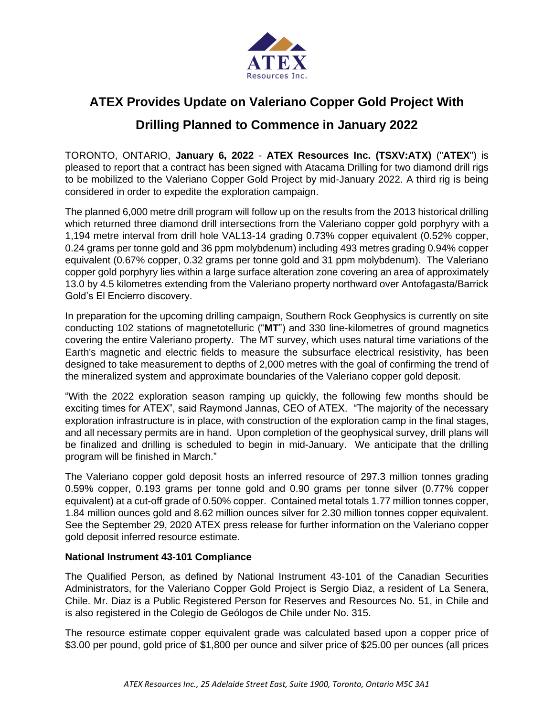

# **ATEX Provides Update on Valeriano Copper Gold Project With Drilling Planned to Commence in January 2022**

TORONTO, ONTARIO, **January 6, 2022** - **ATEX Resources Inc. (TSXV:ATX)** ("**ATEX**") is pleased to report that a contract has been signed with Atacama Drilling for two diamond drill rigs to be mobilized to the Valeriano Copper Gold Project by mid-January 2022. A third rig is being considered in order to expedite the exploration campaign.

The planned 6,000 metre drill program will follow up on the results from the 2013 historical drilling which returned three diamond drill intersections from the Valeriano copper gold porphyry with a 1,194 metre interval from drill hole VAL13-14 grading 0.73% copper equivalent (0.52% copper, 0.24 grams per tonne gold and 36 ppm molybdenum) including 493 metres grading 0.94% copper equivalent (0.67% copper, 0.32 grams per tonne gold and 31 ppm molybdenum). The Valeriano copper gold porphyry lies within a large surface alteration zone covering an area of approximately 13.0 by 4.5 kilometres extending from the Valeriano property northward over Antofagasta/Barrick Gold's El Encierro discovery.

In preparation for the upcoming drilling campaign, Southern Rock Geophysics is currently on site conducting 102 stations of magnetotelluric ("**MT**") and 330 line-kilometres of ground magnetics covering the entire Valeriano property. The MT survey, which uses natural time variations of the Earth's magnetic and electric fields to measure the subsurface electrical resistivity, has been designed to take measurement to depths of 2,000 metres with the goal of confirming the trend of the mineralized system and approximate boundaries of the Valeriano copper gold deposit.

"With the 2022 exploration season ramping up quickly, the following few months should be exciting times for ATEX", said Raymond Jannas, CEO of ATEX. "The majority of the necessary exploration infrastructure is in place, with construction of the exploration camp in the final stages, and all necessary permits are in hand. Upon completion of the geophysical survey, drill plans will be finalized and drilling is scheduled to begin in mid-January. We anticipate that the drilling program will be finished in March."

The Valeriano copper gold deposit hosts an inferred resource of 297.3 million tonnes grading 0.59% copper, 0.193 grams per tonne gold and 0.90 grams per tonne silver (0.77% copper equivalent) at a cut-off grade of 0.50% copper. Contained metal totals 1.77 million tonnes copper, 1.84 million ounces gold and 8.62 million ounces silver for 2.30 million tonnes copper equivalent. See the September 29, 2020 ATEX press release for further information on the Valeriano copper gold deposit inferred resource estimate.

## **National Instrument 43-101 Compliance**

The Qualified Person, as defined by National Instrument 43-101 of the Canadian Securities Administrators, for the Valeriano Copper Gold Project is Sergio Diaz, a resident of La Senera, Chile. Mr. Diaz is a Public Registered Person for Reserves and Resources No. 51, in Chile and is also registered in the Colegio de Geólogos de Chile under No. 315.

The resource estimate copper equivalent grade was calculated based upon a copper price of \$3.00 per pound, gold price of \$1,800 per ounce and silver price of \$25.00 per ounces (all prices